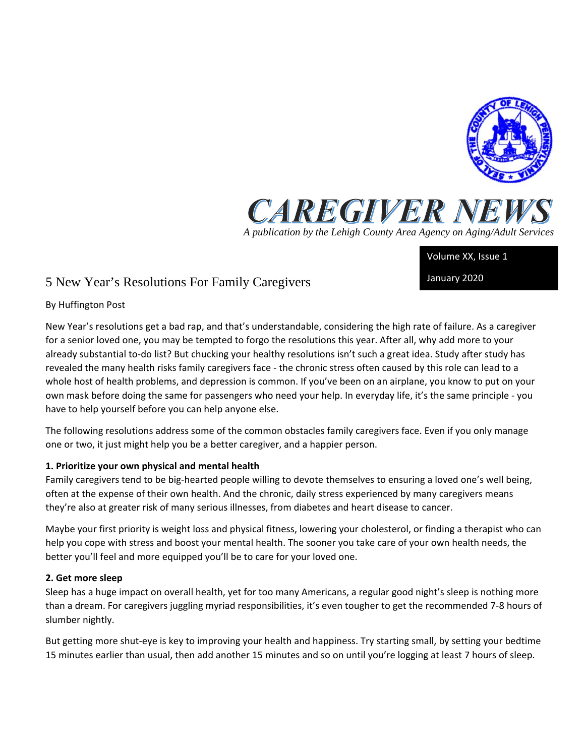



*A publication by the Lehigh County Area Agency on Aging/Adult Services* 

Volume XX, Issue 1

# January <sup>2020</sup> 5 New Year's Resolutions For Family Caregivers

#### By Huffington Post

New Year's resolutions get a bad rap, and that's understandable, considering the high rate of failure. As a caregiver for a senior loved one, you may be tempted to forgo the resolutions this year. After all, why add more to your already substantial to‐do list? But chucking your healthy resolutions isn't such a great idea. Study after study has revealed the many health risks family caregivers face ‐ the chronic stress often caused by this role can lead to a whole host of health problems, and depression is common. If you've been on an airplane, you know to put on your own mask before doing the same for passengers who need your help. In everyday life, it's the same principle ‐ you have to help yourself before you can help anyone else.

The following resolutions address some of the common obstacles family caregivers face. Even if you only manage one or two, it just might help you be a better caregiver, and a happier person.

#### **1. Prioritize your own physical and mental health**

Family caregivers tend to be big-hearted people willing to devote themselves to ensuring a loved one's well being, often at the expense of their own health. And the chronic, daily stress experienced by many caregivers means they're also at greater risk of many serious illnesses, from diabetes and heart disease to cancer.

Maybe your first priority is weight loss and physical fitness, lowering your cholesterol, or finding a therapist who can help you cope with stress and boost your mental health. The sooner you take care of your own health needs, the better you'll feel and more equipped you'll be to care for your loved one.

#### **2. Get more sleep**

Sleep has a huge impact on overall health, yet for too many Americans, a regular good night's sleep is nothing more than a dream. For caregivers juggling myriad responsibilities, it's even tougher to get the recommended 7‐8 hours of slumber nightly.

But getting more shut‐eye is key to improving your health and happiness. Try starting small, by setting your bedtime 15 minutes earlier than usual, then add another 15 minutes and so on until you're logging at least 7 hours of sleep.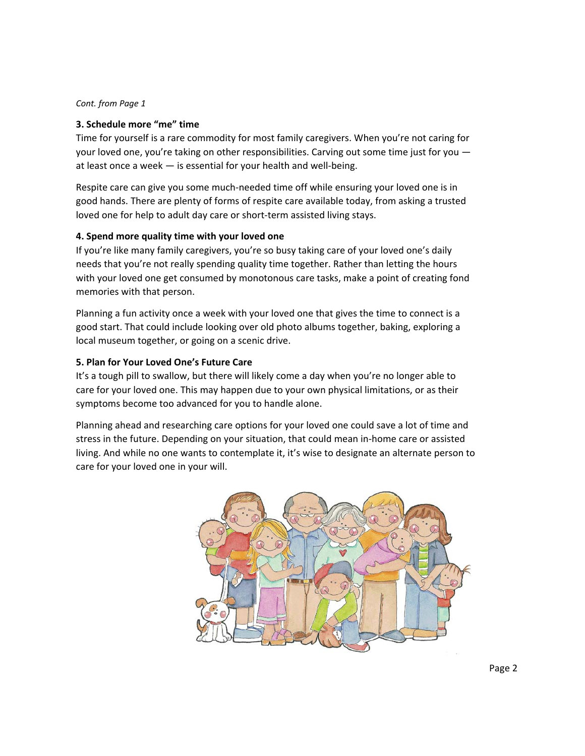#### *Cont. from Page 1*

#### **3. Schedule more "me" time**

Time for yourself is a rare commodity for most family caregivers. When you're not caring for your loved one, you're taking on other responsibilities. Carving out some time just for you  $$ at least once a week — is essential for your health and well‐being.

Respite care can give you some much‐needed time off while ensuring your loved one is in good hands. There are plenty of forms of respite care available today, from asking a trusted loved one for help to adult day care or short‐term assisted living stays.

#### **4. Spend more quality time with your loved one**

If you're like many family caregivers, you're so busy taking care of your loved one's daily needs that you're not really spending quality time together. Rather than letting the hours with your loved one get consumed by monotonous care tasks, make a point of creating fond memories with that person.

Planning a fun activity once a week with your loved one that gives the time to connect is a good start. That could include looking over old photo albums together, baking, exploring a local museum together, or going on a scenic drive.

#### **5. Plan for Your Loved One's Future Care**

It's a tough pill to swallow, but there will likely come a day when you're no longer able to care for your loved one. This may happen due to your own physical limitations, or as their symptoms become too advanced for you to handle alone.

Planning ahead and researching care options for your loved one could save a lot of time and stress in the future. Depending on your situation, that could mean in‐home care or assisted living. And while no one wants to contemplate it, it's wise to designate an alternate person to care for your loved one in your will.

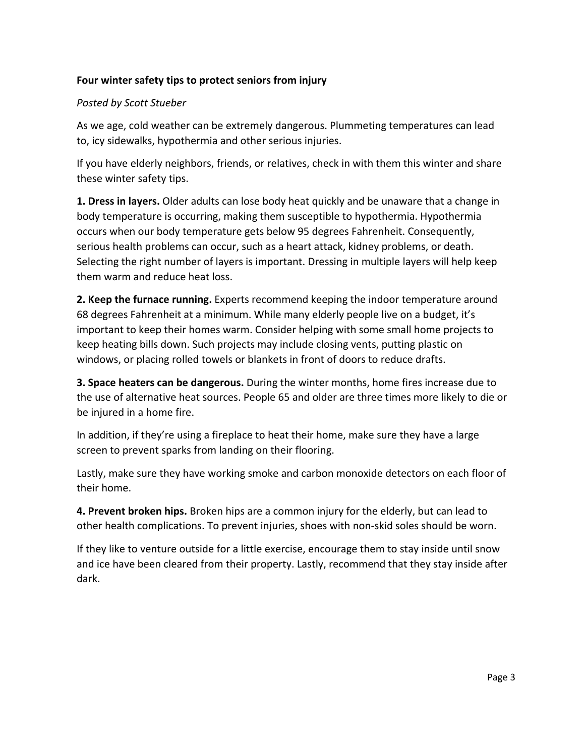### **Four winter safety tips to protect seniors from injury**

#### *Posted by Scott Stueber*

As we age, cold weather can be extremely dangerous. Plummeting temperatures can lead to, icy sidewalks, hypothermia and other serious injuries.

If you have elderly neighbors, friends, or relatives, check in with them this winter and share these winter safety tips.

**1. Dress in layers.** Older adults can lose body heat quickly and be unaware that a change in body temperature is occurring, making them susceptible to hypothermia. Hypothermia occurs when our body temperature gets below 95 degrees Fahrenheit. Consequently, serious health problems can occur, such as a heart attack, kidney problems, or death. Selecting the right number of layers is important. Dressing in multiple layers will help keep them warm and reduce heat loss.

**2. Keep the furnace running.** Experts recommend keeping the indoor temperature around 68 degrees Fahrenheit at a minimum. While many elderly people live on a budget, it's important to keep their homes warm. Consider helping with some small home projects to keep heating bills down. Such projects may include closing vents, putting plastic on windows, or placing rolled towels or blankets in front of doors to reduce drafts.

**3. Space heaters can be dangerous.** During the winter months, home fires increase due to the use of alternative heat sources. People 65 and older are three times more likely to die or be injured in a home fire.

In addition, if they're using a fireplace to heat their home, make sure they have a large screen to prevent sparks from landing on their flooring.

Lastly, make sure they have working smoke and carbon monoxide detectors on each floor of their home.

**4. Prevent broken hips.** Broken hips are a common injury for the elderly, but can lead to other health complications. To prevent injuries, shoes with non‐skid soles should be worn.

If they like to venture outside for a little exercise, encourage them to stay inside until snow and ice have been cleared from their property. Lastly, recommend that they stay inside after dark.